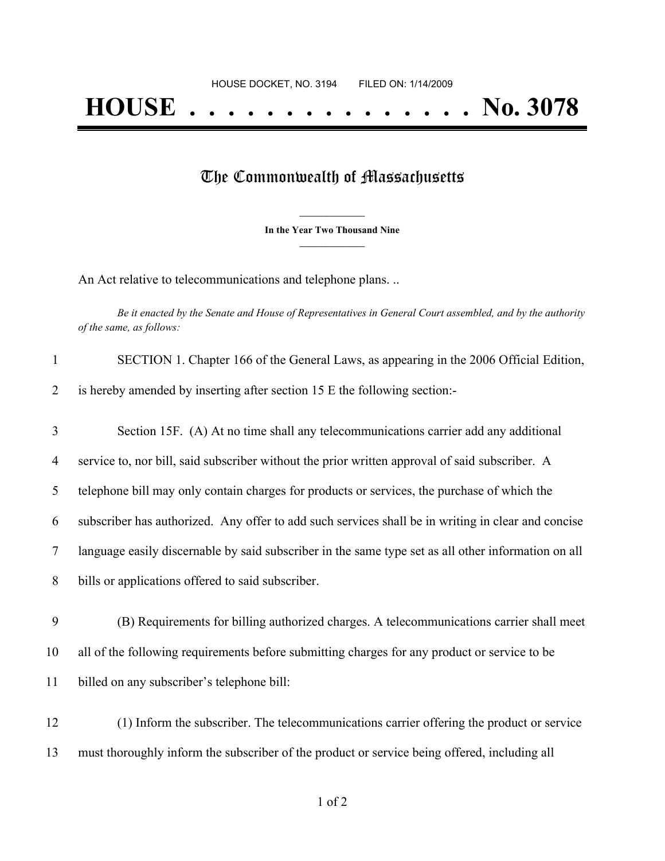## The Commonwealth of Massachusetts

**\_\_\_\_\_\_\_\_\_\_\_\_\_\_\_ In the Year Two Thousand Nine \_\_\_\_\_\_\_\_\_\_\_\_\_\_\_**

An Act relative to telecommunications and telephone plans. ..

Be it enacted by the Senate and House of Representatives in General Court assembled, and by the authority *of the same, as follows:*

| $\mathbf{1}$   | SECTION 1. Chapter 166 of the General Laws, as appearing in the 2006 Official Edition,              |
|----------------|-----------------------------------------------------------------------------------------------------|
| $\overline{2}$ | is hereby amended by inserting after section 15 E the following section:-                           |
| 3              | Section 15F. (A) At no time shall any telecommunications carrier add any additional                 |
| 4              | service to, nor bill, said subscriber without the prior written approval of said subscriber. A      |
| 5              | telephone bill may only contain charges for products or services, the purchase of which the         |
| 6              | subscriber has authorized. Any offer to add such services shall be in writing in clear and concise  |
| $\tau$         | language easily discernable by said subscriber in the same type set as all other information on all |
| 8              | bills or applications offered to said subscriber.                                                   |
| 9              | (B) Requirements for billing authorized charges. A telecommunications carrier shall meet            |
| 10             | all of the following requirements before submitting charges for any product or service to be        |
| 11             | billed on any subscriber's telephone bill:                                                          |
| 12             | (1) Inform the subscriber. The telecommunications carrier offering the product or service           |
| 13             | must thoroughly inform the subscriber of the product or service being offered, including all        |
|                |                                                                                                     |